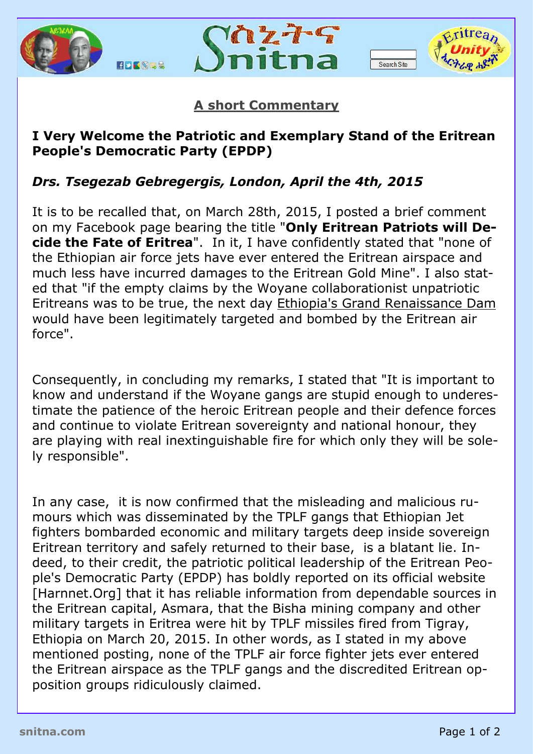





## **A short Commentary**

## **I Very Welcome the Patriotic and Exemplary Stand of the Eritrean People's Democratic Party (EPDP)**

## *Drs. Tsegezab Gebregergis, London, April the 4th, 2015*

It is to be recalled that, on March 28th, 2015, I posted a brief comment on my Facebook page bearing the title "**Only Eritrean Patriots will Decide the Fate of Eritrea**". In it, I have confidently stated that "none of the Ethiopian air force jets have ever entered the Eritrean airspace and much less have incurred damages to the Eritrean Gold Mine". I also stated that "if the empty claims by the Woyane collaborationist unpatriotic Eritreans was to be true, the next day Ethiopia's Grand Renaissance Dam would have been legitimately targeted and bombed by the Eritrean air force".

Consequently, in concluding my remarks, I stated that "It is important to know and understand if the Woyane gangs are stupid enough to underestimate the patience of the heroic Eritrean people and their defence forces and continue to violate Eritrean sovereignty and national honour, they are playing with real inextinguishable fire for which only they will be solely responsible".

In any case, it is now confirmed that the misleading and malicious rumours which was disseminated by the TPLF gangs that Ethiopian Jet fighters bombarded economic and military targets deep inside sovereign Eritrean territory and safely returned to their base, is a blatant lie. Indeed, to their credit, the patriotic political leadership of the Eritrean People's Democratic Party (EPDP) has boldly reported on its official website [Harnnet.Org] that it has reliable information from dependable sources in the Eritrean capital, Asmara, that the Bisha mining company and other military targets in Eritrea were hit by TPLF missiles fired from Tigray, Ethiopia on March 20, 2015. In other words, as I stated in my above mentioned posting, none of the TPLF air force fighter jets ever entered the Eritrean airspace as the TPLF gangs and the discredited Eritrean opposition groups ridiculously claimed.